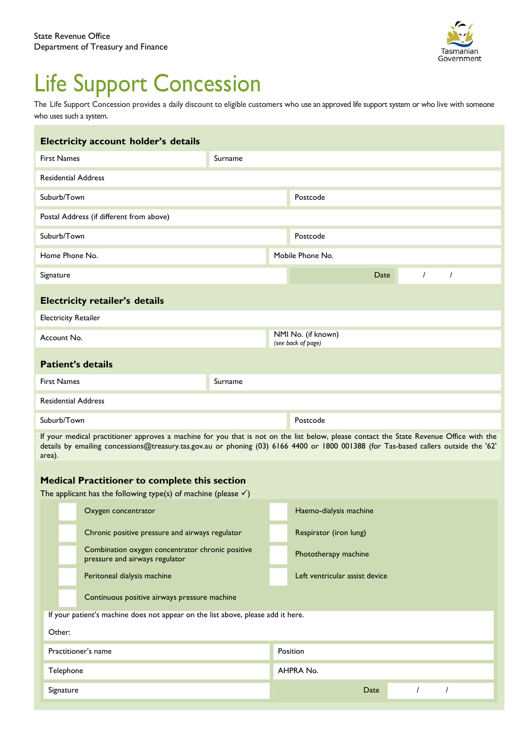

# Life Support Concession

The Life Support Concession provides a daily discount to eligible customers who use an approved life support system or who live with someone who uses such a system.

| Electricity account holder's details     |         |  |                                          |      |  |                |          |  |  |  |  |
|------------------------------------------|---------|--|------------------------------------------|------|--|----------------|----------|--|--|--|--|
| <b>First Names</b>                       | Surname |  |                                          |      |  |                |          |  |  |  |  |
| <b>Residential Address</b>               |         |  |                                          |      |  |                |          |  |  |  |  |
| Suburb/Town                              |         |  | Postcode                                 |      |  |                |          |  |  |  |  |
| Postal Address (if different from above) |         |  |                                          |      |  |                |          |  |  |  |  |
| Suburb/Town                              |         |  | Postcode                                 |      |  |                |          |  |  |  |  |
| Home Phone No.                           |         |  | Mobile Phone No.                         |      |  |                |          |  |  |  |  |
| Signature                                |         |  |                                          | Date |  | $\overline{I}$ | $\prime$ |  |  |  |  |
| <b>Electricity retailer's details</b>    |         |  |                                          |      |  |                |          |  |  |  |  |
| <b>Electricity Retailer</b>              |         |  |                                          |      |  |                |          |  |  |  |  |
| Account No.                              |         |  | NMI No. (if known)<br>(see back of page) |      |  |                |          |  |  |  |  |
| <b>Patient's details</b>                 |         |  |                                          |      |  |                |          |  |  |  |  |
| <b>First Names</b>                       | Surname |  |                                          |      |  |                |          |  |  |  |  |
| <b>Residential Address</b>               |         |  |                                          |      |  |                |          |  |  |  |  |
| Suburb/Town                              |         |  | Postcode                                 |      |  |                |          |  |  |  |  |

If your medical practitioner approves a machine for you that is not on the list below, please contact the State Revenue Office with the details by emailing concessions@treasury.tas.gov.au or phoning (03) 6166 4400 or 1800 001388 (for Tas-based callers outside the '62' area).

# **Medical Practitioner to complete this section**

| The applicant has the following type(s) of machine (please $\checkmark$ )        |                                              |                                                                                    |           |                                |  |  |  |  |  |
|----------------------------------------------------------------------------------|----------------------------------------------|------------------------------------------------------------------------------------|-----------|--------------------------------|--|--|--|--|--|
|                                                                                  |                                              | Oxygen concentrator                                                                |           | Haemo-dialysis machine         |  |  |  |  |  |
|                                                                                  |                                              | Chronic positive pressure and airways regulator                                    |           | Respirator (iron lung)         |  |  |  |  |  |
|                                                                                  |                                              | Combination oxygen concentrator chronic positive<br>pressure and airways regulator |           | Phototherapy machine           |  |  |  |  |  |
|                                                                                  |                                              | Peritoneal dialysis machine                                                        |           | Left ventricular assist device |  |  |  |  |  |
|                                                                                  | Continuous positive airways pressure machine |                                                                                    |           |                                |  |  |  |  |  |
| If your patient's machine does not appear on the list above, please add it here. |                                              |                                                                                    |           |                                |  |  |  |  |  |
| Other:                                                                           |                                              |                                                                                    |           |                                |  |  |  |  |  |
| Practitioner's name                                                              |                                              | Position                                                                           |           |                                |  |  |  |  |  |
| Telephone                                                                        |                                              |                                                                                    | AHPRA No. |                                |  |  |  |  |  |
|                                                                                  | Signature                                    |                                                                                    |           | Date                           |  |  |  |  |  |
|                                                                                  |                                              |                                                                                    |           |                                |  |  |  |  |  |